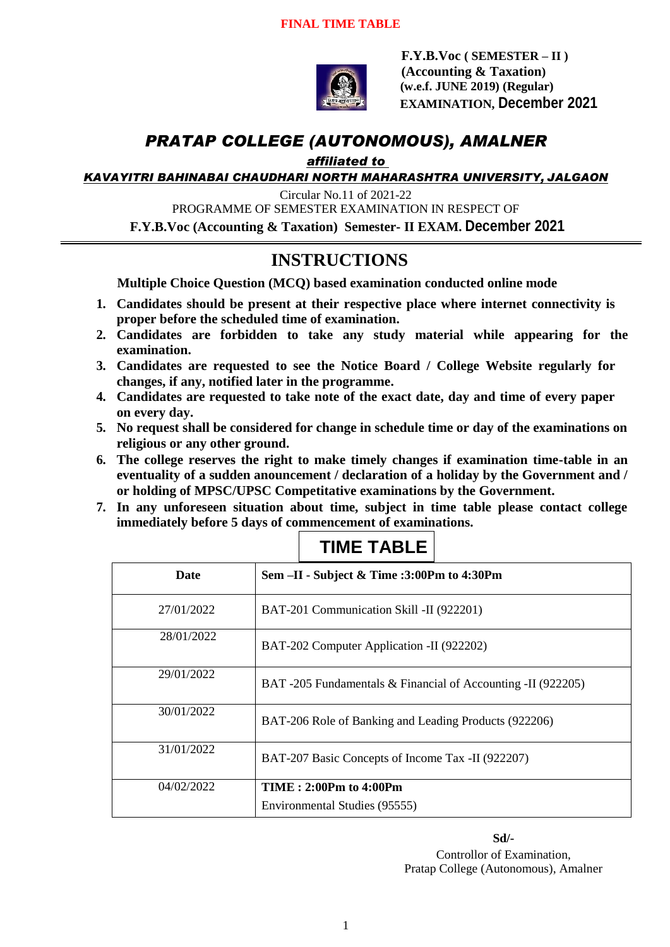

 **F.Y.B.Voc ( SEMESTER – II ) (Accounting & Taxation) (w.e.f. JUNE 2019) (Regular) EXAMINATION, December 2021**

# *PRATAP COLLEGE (AUTONOMOUS), AMALNER*

*affiliated to* 

*KAVAYITRI BAHINABAI CHAUDHARI NORTH MAHARASHTRA UNIVERSITY, JALGAON*

Circular No.11 of 2021-22 PROGRAMME OF SEMESTER EXAMINATION IN RESPECT OF **F.Y.B.Voc (Accounting & Taxation) Semester- II EXAM. December 2021**

# **INSTRUCTIONS**

**Multiple Choice Question (MCQ) based examination conducted online mode**

- **1. Candidates should be present at their respective place where internet connectivity is proper before the scheduled time of examination.**
- **2. Candidates are forbidden to take any study material while appearing for the examination.**
- **3. Candidates are requested to see the Notice Board / College Website regularly for changes, if any, notified later in the programme.**
- **4. Candidates are requested to take note of the exact date, day and time of every paper on every day.**
- **5. No request shall be considered for change in schedule time or day of the examinations on religious or any other ground.**
- **6. The college reserves the right to make timely changes if examination time-table in an eventuality of a sudden anouncement / declaration of a holiday by the Government and / or holding of MPSC/UPSC Competitative examinations by the Government.**
- **7. In any unforeseen situation about time, subject in time table please contact college immediately before 5 days of commencement of examinations.**

| <b>Date</b> | Sem -II - Subject & Time :3:00Pm to 4:30Pm                   |
|-------------|--------------------------------------------------------------|
| 27/01/2022  | BAT-201 Communication Skill -II (922201)                     |
| 28/01/2022  | BAT-202 Computer Application -II (922202)                    |
| 29/01/2022  | BAT -205 Fundamentals & Financial of Accounting -II (922205) |
| 30/01/2022  | BAT-206 Role of Banking and Leading Products (922206)        |
| 31/01/2022  | BAT-207 Basic Concepts of Income Tax -II (922207)            |
| 04/02/2022  | <b>TIME</b> : 2:00Pm to 4:00Pm                               |
|             | Environmental Studies (95555)                                |

## **TIME TABLE**

**Sd/-** Controllor of Examination, Pratap College (Autonomous), Amalner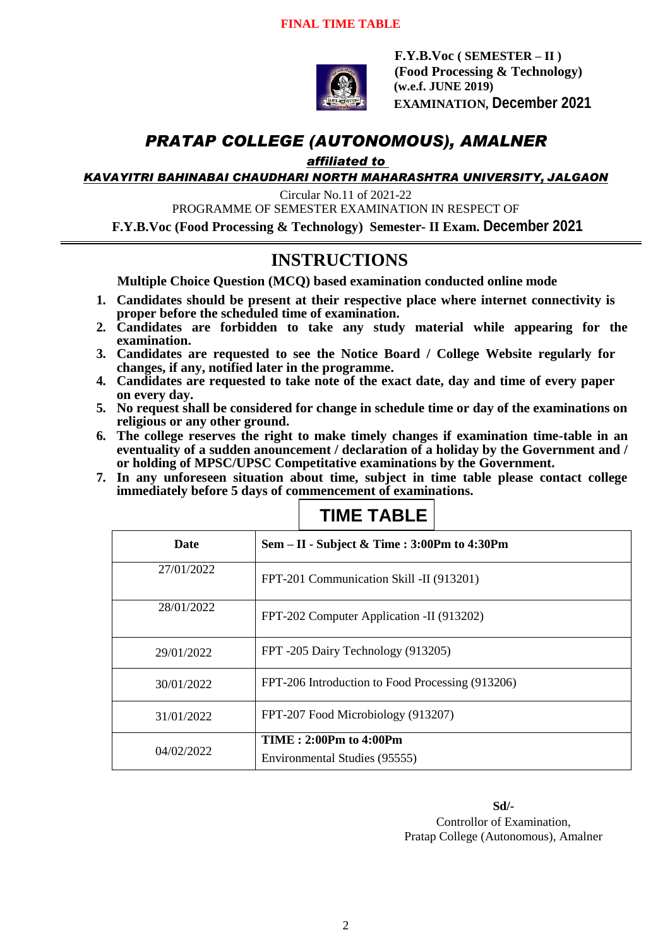

 **F.Y.B.Voc ( SEMESTER – II ) (Food Processing & Technology) (w.e.f. JUNE 2019) EXAMINATION, December 2021**

# *PRATAP COLLEGE (AUTONOMOUS), AMALNER*

*affiliated to* 

*KAVAYITRI BAHINABAI CHAUDHARI NORTH MAHARASHTRA UNIVERSITY, JALGAON*

Circular No.11 of 2021-22

PROGRAMME OF SEMESTER EXAMINATION IN RESPECT OF

**F.Y.B.Voc (Food Processing & Technology) Semester- II Exam. December 2021**

### **INSTRUCTIONS**

**Multiple Choice Question (MCQ) based examination conducted online mode**

- **1. Candidates should be present at their respective place where internet connectivity is proper before the scheduled time of examination.**
- **2. Candidates are forbidden to take any study material while appearing for the examination.**
- **3. Candidates are requested to see the Notice Board / College Website regularly for changes, if any, notified later in the programme.**
- **4. Candidates are requested to take note of the exact date, day and time of every paper on every day.**
- **5. No request shall be considered for change in schedule time or day of the examinations on religious or any other ground.**
- **6. The college reserves the right to make timely changes if examination time-table in an eventuality of a sudden anouncement / declaration of a holiday by the Government and / or holding of MPSC/UPSC Competitative examinations by the Government.**
- **7. In any unforeseen situation about time, subject in time table please contact college immediately before 5 days of commencement of examinations.**

| <b>Date</b> | Sem – II - Subject & Time : 3:00Pm to 4:30Pm            |
|-------------|---------------------------------------------------------|
| 27/01/2022  | FPT-201 Communication Skill -II (913201)                |
| 28/01/2022  | FPT-202 Computer Application -II (913202)               |
| 29/01/2022  | FPT -205 Dairy Technology (913205)                      |
| 30/01/2022  | FPT-206 Introduction to Food Processing (913206)        |
| 31/01/2022  | FPT-207 Food Microbiology (913207)                      |
| 04/02/2022  | TIME: 2:00Pm to 4:00Pm<br>Environmental Studies (95555) |

# **TIME TABLE**

**Sd/-** Controllor of Examination, Pratap College (Autonomous), Amalner